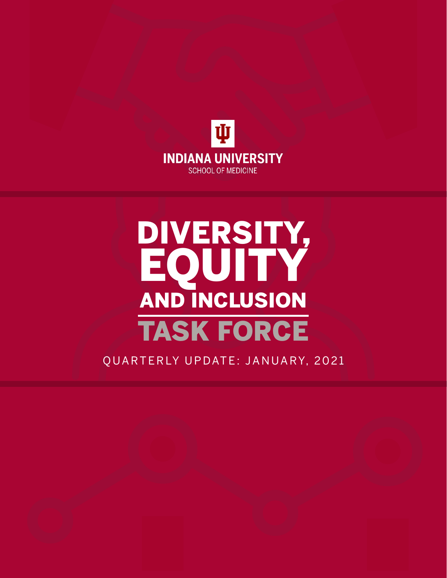

### DIVERSITY, EQUITY AND INCLUSION TASK FORCE

QUARTERLY UPDATE: JANUARY, 2021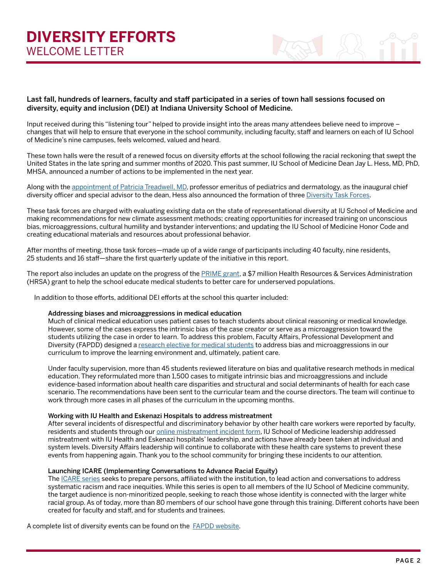

#### Last fall, hundreds of learners, faculty and staff participated in a series of town hall sessions focused on diversity, equity and inclusion (DEI) at Indiana University School of Medicine.

Input received during this "listening tour" helped to provide insight into the areas many attendees believe need to improve – changes that will help to ensure that everyone in the school community, including faculty, staff and learners on each of IU School of Medicine's nine campuses, feels welcomed, valued and heard.

These town halls were the result of a renewed focus on diversity efforts at the school following the racial reckoning that swept the United States in the late spring and summer months of 2020. This past summer, IU School of Medicine Dean Jay L. Hess, MD, PhD, MHSA, announced a number of actions to be implemented in the next year.

Along with the [appointment of Patricia Treadwell, MD,](https://medicine.iu.edu/blogs/dean/patricia-treadwell-named-chief-diversity-officer) professor emeritus of pediatrics and dermatology, as the inaugural chief diversity officer and special advisor to the dean, Hess also announced the formation of three [Diversity Task Forces](https://medicine.iu.edu/about/diversity/task-force).

These task forces are charged with evaluating existing data on the state of representational diversity at IU School of Medicine and making recommendations for new climate assessment methods; creating opportunities for increased training on unconscious bias, microaggressions, cultural humility and bystander interventions; and updating the IU School of Medicine Honor Code and creating educational materials and resources about professional behavior.

After months of meeting, those task forces—made up of a wide range of participants including 40 faculty, nine residents, 25 students and 16 staff—share the first quarterly update of the initiative in this report.

The report also includes an update on the progress of the [PRIME grant](https://medicine.iu.edu/news/2020/06/$7-million-grant-aimed-at-eliminating-health-disparities), a \$7 million Health Resources & Services Administration (HRSA) grant to help the school educate medical students to better care for underserved populations.

In addition to those efforts, additional DEI efforts at the school this quarter included:

#### Addressing biases and microaggressions in medical education

Much of clinical medical education uses patient cases to teach students about clinical reasoning or medical knowledge. However, some of the cases express the intrinsic bias of the case creator or serve as a microaggression toward the students utilizing the case in order to learn. To address this problem, Faculty Affairs, Professional Development and Diversity (FAPDD) designed a [research elective for medical students](https://iusom.sitehost.iu.edu/studentelectives/93ZI705) to address bias and microaggressions in our curriculum to improve the learning environment and, ultimately, patient care.

Under faculty supervision, more than 45 students reviewed literature on bias and qualitative research methods in medical education. They reformulated more than 1,500 cases to mitigate intrinsic bias and microaggressions and include evidence-based information about health care disparities and structural and social determinants of health for each case scenario. The recommendations have been sent to the curricular team and the course directors. The team will continue to work through more cases in all phases of the curriculum in the upcoming months.

#### Working with IU Health and Eskenazi Hospitals to address mistreatment

After several incidents of disrespectful and discriminatory behavior by other health care workers were reported by faculty, residents and students through our [online mistreatment incident form,](https://medicine.iu.edu/about/learning-environment/mistreatment) IU School of Medicine leadership addressed mistreatment with IU Health and Eskenazi hospitals' leadership, and actions have already been taken at individual and system levels. Diversity Affairs leadership will continue to collaborate with these health care systems to prevent these events from happening again. Thank you to the school community for bringing these incidents to our attention.

#### Launching ICARE (Implementing Conversations to Advance Racial Equity)

The [ICARE series](https://faculty.medicine.iu.edu/diversity/about-diversity/diversity-applications/icare/) seeks to prepare persons, affiliated with the institution, to lead action and conversations to address systematic racism and race inequities. While this series is open to all members of the IU School of Medicine community, the target audience is non-minoritized people, seeking to reach those whose identity is connected with the larger white racial group. As of today, more than 80 members of our school have gone through this training. Different cohorts have been created for faculty and staff, and for students and trainees.

A complete list of diversity events can be found on the **FAPDD** website.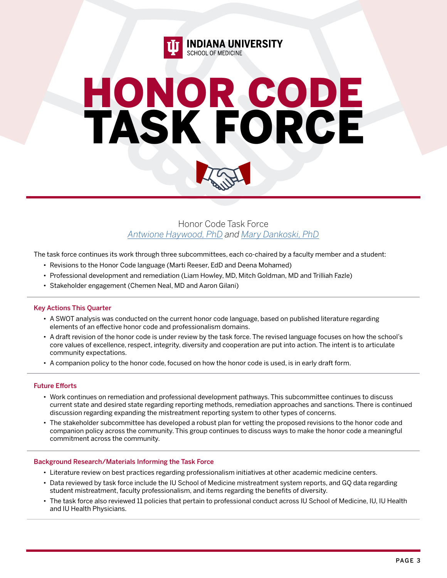

## HONOR CODE TASK FORCE



Honor Code Task Force *[Antwione Haywood, PhD](https://medicine.iu.edu/faculty/19102/haywood-antwione) and [Mary Dankoski, PhD](https://medicine.iu.edu/faculty/14610/dankoski-mary)*

The task force continues its work through three subcommittees, each co-chaired by a faculty member and a student:

- Revisions to the Honor Code language (Marti Reeser, EdD and Deena Mohamed)
- Professional development and remediation (Liam Howley, MD, Mitch Goldman, MD and Trilliah Fazle)
- Stakeholder engagement (Chemen Neal, MD and Aaron Gilani)

#### Key Actions This Quarter

- A SWOT analysis was conducted on the current honor code language, based on published literature regarding elements of an effective honor code and professionalism domains.
- A draft revision of the honor code is under review by the task force. The revised language focuses on how the school's core values of excellence, respect, integrity, diversity and cooperation are put into action. The intent is to articulate community expectations.
- A companion policy to the honor code, focused on how the honor code is used, is in early draft form.

#### Future Efforts

- Work continues on remediation and professional development pathways. This subcommittee continues to discuss current state and desired state regarding reporting methods, remediation approaches and sanctions. There is continued discussion regarding expanding the mistreatment reporting system to other types of concerns.
- The stakeholder subcommittee has developed a robust plan for vetting the proposed revisions to the honor code and companion policy across the community. This group continues to discuss ways to make the honor code a meaningful commitment across the community.

- Literature review on best practices regarding professionalism initiatives at other academic medicine centers.
- Data reviewed by task force include the IU School of Medicine mistreatment system reports, and GQ data regarding student mistreatment, faculty professionalism, and items regarding the benefits of diversity.
- The task force also reviewed 11 policies that pertain to professional conduct across IU School of Medicine, IU, IU Health and IU Health Physicians.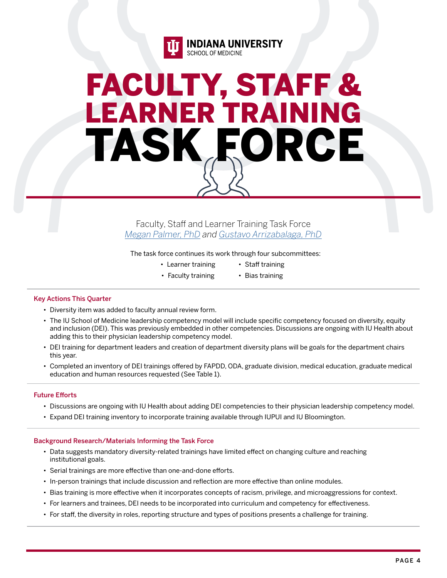

### FACULTY, STAFF & LEARNER TRAINING TASK FORCE

Faculty, Staff and Learner Training Task Force *[Megan Palmer, PhD](https://medicine.iu.edu/faculty/1628/palmer-megan) and [Gustavo Arrizabalaga, PhD](https://medicine.iu.edu/faculty/21736/arrizabalaga-gustavo)*

The task force continues its work through four subcommittees:

- Learner training
- Faculty training • Staff training • Bias training
- Key Actions This Quarter
	- Diversity item was added to faculty annual review form.
	- The IU School of Medicine leadership competency model will include specific competency focused on diversity, equity and inclusion (DEI). This was previously embedded in other competencies. Discussions are ongoing with IU Health about adding this to their physician leadership competency model.
	- DEI training for department leaders and creation of department diversity plans will be goals for the department chairs this year.
	- Completed an inventory of DEI trainings offered by FAPDD, ODA, graduate division, medical education, graduate medical education and human resources requested (See Table 1).

#### Future Efforts

- Discussions are ongoing with IU Health about adding DEI competencies to their physician leadership competency model.
- Expand DEI training inventory to incorporate training available through IUPUI and IU Bloomington.

- Data suggests mandatory diversity-related trainings have limited effect on changing culture and reaching institutional goals.
- Serial trainings are more effective than one-and-done efforts.
- In-person trainings that include discussion and reflection are more effective than online modules.
- Bias training is more effective when it incorporates concepts of racism, privilege, and microaggressions for context.
- For learners and trainees, DEI needs to be incorporated into curriculum and competency for effectiveness.
- For staff, the diversity in roles, reporting structure and types of positions presents a challenge for training.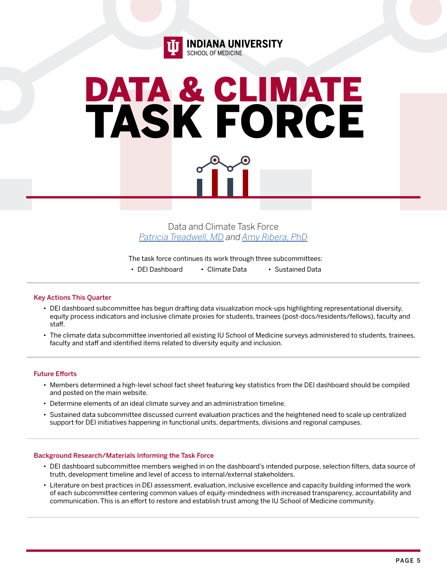

# DATA & CLIMATE TASK FORCE



Data and Climate Task Force *[Patricia Treadwell, MD](https://medicine.iu.edu/faculty/9870/treadwell-patricia) and [Amy Ribera, PhD](https://medicine.iu.edu/faculty/41972/ribera-amy)*

The task force continues its work through three subcommittees:

• DEI Dashboard • Climate Data • Sustained Data

#### Key Actions This Quarter

- DEI dashboard subcommittee has begun drafting data visualization mock-ups highlighting representational diversity, equity process indicators and inclusive climate proxies for students, trainees (post-docs/residents/fellows), faculty and staff.
- The climate data subcommittee inventoried all existing IU School of Medicine surveys administered to students, trainees, faculty and staff and identified items related to diversity equity and inclusion.

#### Future Efforts

- Members determined a high-level school fact sheet featuring key statistics from the DEI dashboard should be compiled and posted on the main website.
- Determine elements of an ideal climate survey and an administration timeline.
- Sustained data subcommittee discussed current evaluation practices and the heightened need to scale up centralized support for DEI initiatives happening in functional units, departments, divisions and regional campuses.

- DEI dashboard subcommittee members weighed in on the dashboard's intended purpose, selection filters, data source of truth, development timeline and level of access to internal/external stakeholders.
- Literature on best practices in DEI assessment, evaluation, inclusive excellence and capacity building informed the work of each subcommittee centering common values of equity-mindedness with increased transparency, accountability and communication. This is an effort to restore and establish trust among the IU School of Medicine community.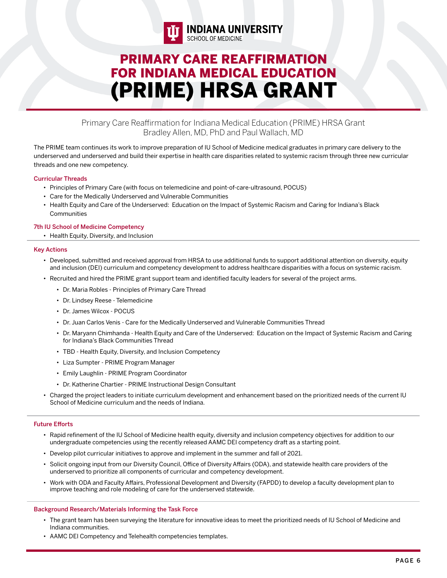

### PRIMARY CARE REAFFIRMATION FOR INDIANA MEDICAL EDUCATION (PRIME) HRSA GRANT

#### Primary Care Reaffirmation for Indiana Medical Education (PRIME) HRSA Grant Bradley Allen, MD, PhD and Paul Wallach, MD

The PRIME team continues its work to improve preparation of IU School of Medicine medical graduates in primary care delivery to the underserved and underserved and build their expertise in health care disparities related to systemic racism through three new curricular threads and one new competency.

#### Curricular Threads

- Principles of Primary Care (with focus on telemedicine and point-of-care-ultrasound, POCUS)
- Care for the Medically Underserved and Vulnerable Communities
- Health Equity and Care of the Underserved: Education on the Impact of Systemic Racism and Caring for Indiana's Black **Communities**

#### 7th IU School of Medicine Competency

• Health Equity, Diversity, and Inclusion

#### Key Actions

- Developed, submitted and received approval from HRSA to use additional funds to support additional attention on diversity, equity and inclusion (DEI) curriculum and competency development to address healthcare disparities with a focus on systemic racism.
- Recruited and hired the PRIME grant support team and identified faculty leaders for several of the project arms.
	- Dr. Maria Robles Principles of Primary Care Thread
	- Dr. Lindsey Reese Telemedicine
	- Dr. James Wilcox POCUS
	- Dr. Juan Carlos Venis Care for the Medically Underserved and Vulnerable Communities Thread
	- Dr. Maryann Chimhanda Health Equity and Care of the Underserved: Education on the Impact of Systemic Racism and Caring for Indiana's Black Communities Thread
	- TBD Health Equity, Diversity, and Inclusion Competency
	- Liza Sumpter PRIME Program Manager
	- Emily Laughlin PRIME Program Coordinator
	- Dr. Katherine Chartier PRIME Instructional Design Consultant
- Charged the project leaders to initiate curriculum development and enhancement based on the prioritized needs of the current IU School of Medicine curriculum and the needs of Indiana.

#### Future Efforts

- Rapid refinement of the IU School of Medicine health equity, diversity and inclusion competency objectives for addition to our undergraduate competencies using the recently released AAMC DEI competency draft as a starting point.
- Develop pilot curricular initiatives to approve and implement in the summer and fall of 2021.
- Solicit ongoing input from our Diversity Council, Office of Diversity Affairs (ODA), and statewide health care providers of the underserved to prioritize all components of curricular and competency development.
- Work with ODA and Faculty Affairs, Professional Development and Diversity (FAPDD) to develop a faculty development plan to improve teaching and role modeling of care for the underserved statewide.

- The grant team has been surveying the literature for innovative ideas to meet the prioritized needs of IU School of Medicine and Indiana communities.
- AAMC DEI Competency and Telehealth competencies templates.